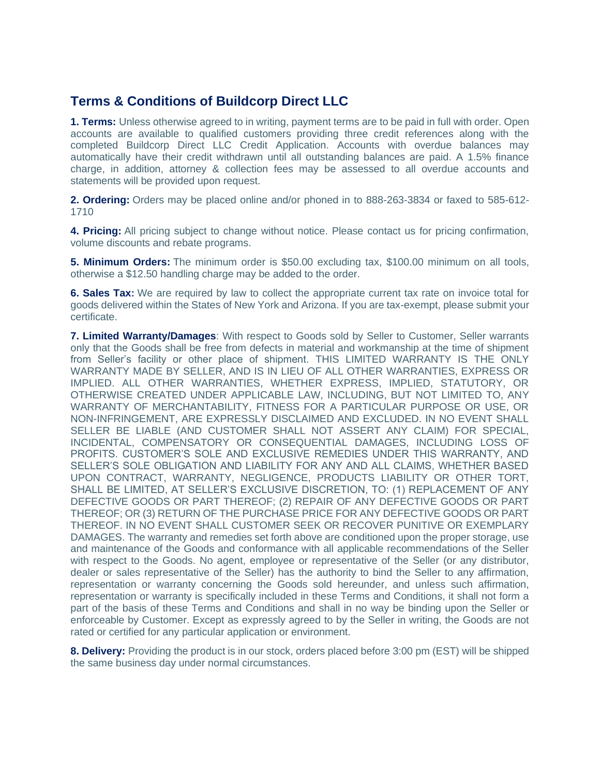## **Terms & Conditions of Buildcorp Direct LLC**

**1. Terms:** Unless otherwise agreed to in writing, payment terms are to be paid in full with order. Open accounts are available to qualified customers providing three credit references along with the completed Buildcorp Direct LLC Credit Application. Accounts with overdue balances may automatically have their credit withdrawn until all outstanding balances are paid. A 1.5% finance charge, in addition, attorney & collection fees may be assessed to all overdue accounts and statements will be provided upon request.

**2. Ordering:** Orders may be placed online and/or phoned in to 888-263-3834 or faxed to 585-612- 1710

**4. Pricing:** All pricing subject to change without notice. Please contact us for pricing confirmation, volume discounts and rebate programs.

**5. Minimum Orders:** The minimum order is \$50.00 excluding tax, \$100.00 minimum on all tools, otherwise a \$12.50 handling charge may be added to the order.

**6. Sales Tax:** We are required by law to collect the appropriate current tax rate on invoice total for goods delivered within the States of New York and Arizona. If you are tax-exempt, please submit your certificate.

**7. Limited Warranty/Damages**: With respect to Goods sold by Seller to Customer, Seller warrants only that the Goods shall be free from defects in material and workmanship at the time of shipment from Seller's facility or other place of shipment. THIS LIMITED WARRANTY IS THE ONLY WARRANTY MADE BY SELLER, AND IS IN LIEU OF ALL OTHER WARRANTIES, EXPRESS OR IMPLIED. ALL OTHER WARRANTIES, WHETHER EXPRESS, IMPLIED, STATUTORY, OR OTHERWISE CREATED UNDER APPLICABLE LAW, INCLUDING, BUT NOT LIMITED TO, ANY WARRANTY OF MERCHANTABILITY, FITNESS FOR A PARTICULAR PURPOSE OR USE, OR NON-INFRINGEMENT, ARE EXPRESSLY DISCLAIMED AND EXCLUDED. IN NO EVENT SHALL SELLER BE LIABLE (AND CUSTOMER SHALL NOT ASSERT ANY CLAIM) FOR SPECIAL, INCIDENTAL, COMPENSATORY OR CONSEQUENTIAL DAMAGES, INCLUDING LOSS OF PROFITS. CUSTOMER'S SOLE AND EXCLUSIVE REMEDIES UNDER THIS WARRANTY, AND SELLER'S SOLE OBLIGATION AND LIABILITY FOR ANY AND ALL CLAIMS, WHETHER BASED UPON CONTRACT, WARRANTY, NEGLIGENCE, PRODUCTS LIABILITY OR OTHER TORT, SHALL BE LIMITED, AT SELLER'S EXCLUSIVE DISCRETION, TO: (1) REPLACEMENT OF ANY DEFECTIVE GOODS OR PART THEREOF; (2) REPAIR OF ANY DEFECTIVE GOODS OR PART THEREOF; OR (3) RETURN OF THE PURCHASE PRICE FOR ANY DEFECTIVE GOODS OR PART THEREOF. IN NO EVENT SHALL CUSTOMER SEEK OR RECOVER PUNITIVE OR EXEMPLARY DAMAGES. The warranty and remedies set forth above are conditioned upon the proper storage, use and maintenance of the Goods and conformance with all applicable recommendations of the Seller with respect to the Goods. No agent, employee or representative of the Seller (or any distributor, dealer or sales representative of the Seller) has the authority to bind the Seller to any affirmation, representation or warranty concerning the Goods sold hereunder, and unless such affirmation, representation or warranty is specifically included in these Terms and Conditions, it shall not form a part of the basis of these Terms and Conditions and shall in no way be binding upon the Seller or enforceable by Customer. Except as expressly agreed to by the Seller in writing, the Goods are not rated or certified for any particular application or environment.

**8. Delivery:** Providing the product is in our stock, orders placed before 3:00 pm (EST) will be shipped the same business day under normal circumstances.